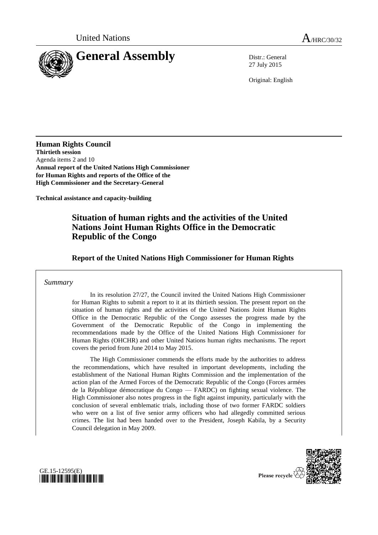

27 July 2015

Original: English

**Human Rights Council Thirtieth session** Agenda items 2 and 10 **Annual report of the United Nations High Commissioner for Human Rights and reports of the Office of the High Commissioner and the Secretary-General**

**Technical assistance and capacity-building**

# **Situation of human rights and the activities of the United Nations Joint Human Rights Office in the Democratic Republic of the Congo**

**Report of the United Nations High Commissioner for Human Rights**

## *Summary*

In its resolution 27/27, the Council invited the United Nations High Commissioner for Human Rights to submit a report to it at its thirtieth session. The present report on the situation of human rights and the activities of the United Nations Joint Human Rights Office in the Democratic Republic of the Congo assesses the progress made by the Government of the Democratic Republic of the Congo in implementing the recommendations made by the Office of the United Nations High Commissioner for Human Rights (OHCHR) and other United Nations human rights mechanisms. The report covers the period from June 2014 to May 2015.

The High Commissioner commends the efforts made by the authorities to address the recommendations, which have resulted in important developments, including the establishment of the National Human Rights Commission and the implementation of the action plan of the Armed Forces of the Democratic Republic of the Congo (Forces armées de la République démocratique du Congo — FARDC) on fighting sexual violence. The High Commissioner also notes progress in the fight against impunity, particularly with the conclusion of several emblematic trials, including those of two former FARDC soldiers who were on a list of five senior army officers who had allegedly committed serious crimes. The list had been handed over to the President, Joseph Kabila, by a Security Council delegation in May 2009.



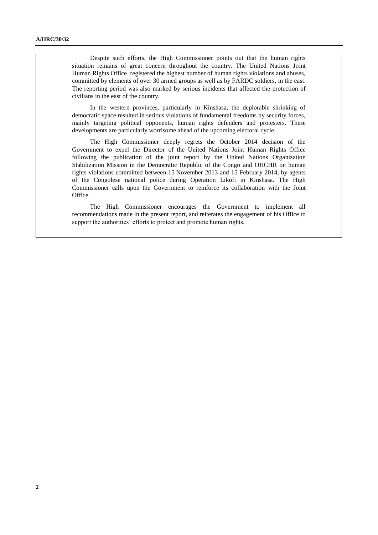Despite such efforts, the High Commissioner points out that the human rights situation remains of great concern throughout the country. The United Nations Joint Human Rights Office registered the highest number of human rights violations and abuses, committed by elements of over 30 armed groups as well as by FARDC soldiers, in the east. The reporting period was also marked by serious incidents that affected the protection of civilians in the east of the country.

In the western provinces, particularly in Kinshasa, the deplorable shrinking of democratic space resulted in serious violations of fundamental freedoms by security forces, mainly targeting political opponents, human rights defenders and protesters. These developments are particularly worrisome ahead of the upcoming electoral cycle.

The High Commissioner deeply regrets the October 2014 decision of the Government to expel the Director of the United Nations Joint Human Rights Office following the publication of the joint report by the United Nations Organization Stabilization Mission in the Democratic Republic of the Congo and OHCHR on human rights violations committed between 15 November 2013 and 15 February 2014, by agents of the Congolese national police during Operation Likofi in Kinshasa. The High Commissioner calls upon the Government to reinforce its collaboration with the Joint Office.

The High Commissioner encourages the Government to implement all recommendations made in the present report, and reiterates the engagement of his Office to support the authorities' efforts to protect and promote human rights.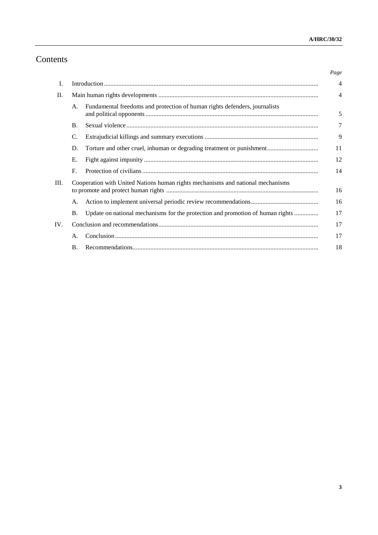# Contents

|         |                                                                                 |                                                                                | Page           |
|---------|---------------------------------------------------------------------------------|--------------------------------------------------------------------------------|----------------|
| I.      |                                                                                 |                                                                                | $\overline{4}$ |
| $\Pi$ . |                                                                                 |                                                                                | $\overline{4}$ |
|         | A.                                                                              | Fundamental freedoms and protection of human rights defenders, journalists     | 5              |
|         | $\mathbf{B}$ .                                                                  |                                                                                | 7              |
|         | C.                                                                              |                                                                                | 9              |
|         | D.                                                                              | Torture and other cruel, inhuman or degrading treatment or punishment          | 11             |
|         | Е.                                                                              |                                                                                | 12             |
|         | $F_{\cdot}$                                                                     |                                                                                | 14             |
| Ш.      | Cooperation with United Nations human rights mechanisms and national mechanisms |                                                                                | 16             |
|         | А.                                                                              |                                                                                | 16             |
|         | <b>B.</b>                                                                       | Update on national mechanisms for the protection and promotion of human rights | 17             |
| IV.     |                                                                                 |                                                                                | 17             |
|         | А.                                                                              |                                                                                | 17             |
|         | <b>B.</b>                                                                       |                                                                                | 18             |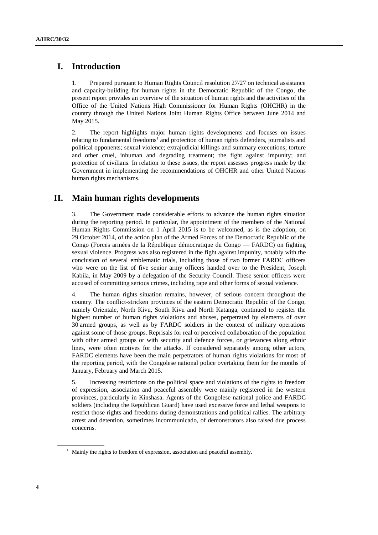# **I. Introduction**

1. Prepared pursuant to Human Rights Council resolution 27/27 on technical assistance and capacity-building for human rights in the Democratic Republic of the Congo, the present report provides an overview of the situation of human rights and the activities of the Office of the United Nations High Commissioner for Human Rights (OHCHR) in the country through the United Nations Joint Human Rights Office between June 2014 and May 2015.

2. The report highlights major human rights developments and focuses on issues relating to fundamental freedoms<sup>1</sup> and protection of human rights defenders, journalists and political opponents; sexual violence; extrajudicial killings and summary executions; torture and other cruel, inhuman and degrading treatment; the fight against impunity; and protection of civilians. In relation to these issues, the report assesses progress made by the Government in implementing the recommendations of OHCHR and other United Nations human rights mechanisms.

# **II. Main human rights developments**

3. The Government made considerable efforts to advance the human rights situation during the reporting period. In particular, the appointment of the members of the National Human Rights Commission on 1 April 2015 is to be welcomed, as is the adoption, on 29 October 2014, of the action plan of the Armed Forces of the Democratic Republic of the Congo (Forces armées de la République démocratique du Congo — FARDC) on fighting sexual violence. Progress was also registered in the fight against impunity, notably with the conclusion of several emblematic trials, including those of two former FARDC officers who were on the list of five senior army officers handed over to the President, Joseph Kabila, in May 2009 by a delegation of the Security Council. These senior officers were accused of committing serious crimes, including rape and other forms of sexual violence.

4. The human rights situation remains, however, of serious concern throughout the country. The conflict-stricken provinces of the eastern Democratic Republic of the Congo, namely Orientale, North Kivu, South Kivu and North Katanga, continued to register the highest number of human rights violations and abuses, perpetrated by elements of over 30 armed groups, as well as by FARDC soldiers in the context of military operations against some of those groups. Reprisals for real or perceived collaboration of the population with other armed groups or with security and defence forces, or grievances along ethnic lines, were often motives for the attacks. If considered separately among other actors, FARDC elements have been the main perpetrators of human rights violations for most of the reporting period, with the Congolese national police overtaking them for the months of January, February and March 2015.

5. Increasing restrictions on the political space and violations of the rights to freedom of expression, association and peaceful assembly were mainly registered in the western provinces, particularly in Kinshasa. Agents of the Congolese national police and FARDC soldiers (including the Republican Guard) have used excessive force and lethal weapons to restrict those rights and freedoms during demonstrations and political rallies. The arbitrary arrest and detention, sometimes incommunicado, of demonstrators also raised due process concerns.

 $1$  Mainly the rights to freedom of expression, association and peaceful assembly.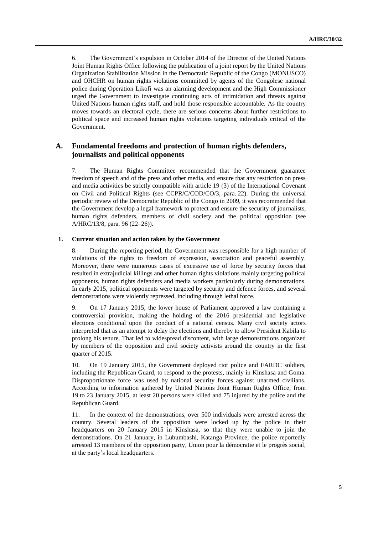6. The Government's expulsion in October 2014 of the Director of the United Nations Joint Human Rights Office following the publication of a joint report by the United Nations Organization Stabilization Mission in the Democratic Republic of the Congo (MONUSCO) and OHCHR on human rights violations committed by agents of the Congolese national police during Operation Likofi was an alarming development and the High Commissioner urged the Government to investigate continuing acts of intimidation and threats against United Nations human rights staff, and hold those responsible accountable. As the country moves towards an electoral cycle, there are serious concerns about further restrictions to political space and increased human rights violations targeting individuals critical of the Government.

## **A. Fundamental freedoms and protection of human rights defenders, journalists and political opponents**

7. The Human Rights Committee recommended that the Government guarantee freedom of speech and of the press and other media, and ensure that any restriction on press and media activities be strictly compatible with article 19 (3) of the International Covenant on Civil and Political Rights (see CCPR/C/COD/CO/3, para. 22). During the universal periodic review of the Democratic Republic of the Congo in 2009, it was recommended that the Government develop a legal framework to protect and ensure the security of journalists, human rights defenders, members of civil society and the political opposition (see A/HRC/13/8, para. 96 (22–26)).

### **1. Current situation and action taken by the Government**

8. During the reporting period, the Government was responsible for a high number of violations of the rights to freedom of expression, association and peaceful assembly. Moreover, there were numerous cases of excessive use of force by security forces that resulted in extrajudicial killings and other human rights violations mainly targeting political opponents, human rights defenders and media workers particularly during demonstrations. In early 2015, political opponents were targeted by security and defence forces, and several demonstrations were violently repressed, including through lethal force.

9. On 17 January 2015, the lower house of Parliament approved a law containing a controversial provision, making the holding of the 2016 presidential and legislative elections conditional upon the conduct of a national census. Many civil society actors interpreted that as an attempt to delay the elections and thereby to allow President Kabila to prolong his tenure. That led to widespread discontent, with large demonstrations organized by members of the opposition and civil society activists around the country in the first quarter of 2015.

10. On 19 January 2015, the Government deployed riot police and FARDC soldiers, including the Republican Guard, to respond to the protests, mainly in Kinshasa and Goma. Disproportionate force was used by national security forces against unarmed civilians. According to information gathered by United Nations Joint Human Rights Office, from 19 to 23 January 2015, at least 20 persons were killed and 75 injured by the police and the Republican Guard.

11. In the context of the demonstrations, over 500 individuals were arrested across the country. Several leaders of the opposition were locked up by the police in their headquarters on 20 January 2015 in Kinshasa, so that they were unable to join the demonstrations. On 21 January, in Lubumbashi, Katanga Province, the police reportedly arrested 13 members of the opposition party, Union pour la démocratie et le progrès social, at the party's local headquarters.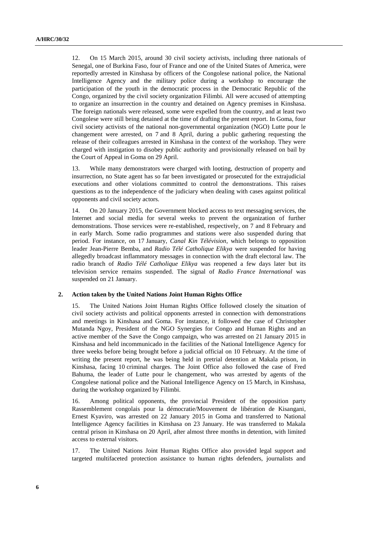12. On 15 March 2015, around 30 civil society activists, including three nationals of Senegal, one of Burkina Faso, four of France and one of the United States of America, were reportedly arrested in Kinshasa by officers of the Congolese national police, the National Intelligence Agency and the military police during a workshop to encourage the participation of the youth in the democratic process in the Democratic Republic of the Congo, organized by the civil society organization Filimbi*.* All were accused of attempting to organize an insurrection in the country and detained on Agency premises in Kinshasa. The foreign nationals were released, some were expelled from the country, and at least two Congolese were still being detained at the time of drafting the present report. In Goma, four civil society activists of the national non-governmental organization (NGO) Lutte pour le changement were arrested, on 7 and 8 April, during a public gathering requesting the release of their colleagues arrested in Kinshasa in the context of the workshop. They were charged with instigation to disobey public authority and provisionally released on bail by the Court of Appeal in Goma on 29 April.

13. While many demonstrators were charged with looting, destruction of property and insurrection, no State agent has so far been investigated or prosecuted for the extrajudicial executions and other violations committed to control the demonstrations. This raises questions as to the independence of the judiciary when dealing with cases against political opponents and civil society actors.

14. On 20 January 2015, the Government blocked access to text messaging services, the Internet and social media for several weeks to prevent the organization of further demonstrations. Those services were re-established, respectively, on 7 and 8 February and in early March. Some radio programmes and stations were also suspended during that period. For instance, on 17 January, *Canal Kin Télévision*, which belongs to opposition leader Jean-Pierre Bemba, and *Radio Télé Catholique Elikya* were suspended for having allegedly broadcast inflammatory messages in connection with the draft electoral law. The radio branch of *Radio Télé Catholique Elikya* was reopened a few days later but its television service remains suspended. The signal of *Radio France International* was suspended on 21 January.

#### **2. Action taken by the United Nations Joint Human Rights Office**

15. The United Nations Joint Human Rights Office followed closely the situation of civil society activists and political opponents arrested in connection with demonstrations and meetings in Kinshasa and Goma. For instance, it followed the case of Christopher Mutanda Ngoy, President of the NGO Synergies for Congo and Human Rights and an active member of the Save the Congo campaign, who was arrested on 21 January 2015 in Kinshasa and held incommunicado in the facilities of the National Intelligence Agency for three weeks before being brought before a judicial official on 10 February. At the time of writing the present report, he was being held in pretrial detention at Makala prison, in Kinshasa, facing 10 criminal charges. The Joint Office also followed the case of Fred Bahuma, the leader of Lutte pour le changement, who was arrested by agents of the Congolese national police and the National Intelligence Agency on 15 March, in Kinshasa, during the workshop organized by Filimbi.

16. Among political opponents, the provincial President of the opposition party Rassemblement congolais pour la démocratie/Mouvement de libération de Kisangani, Ernest Kyaviro, was arrested on 22 January 2015 in Goma and transferred to National Intelligence Agency facilities in Kinshasa on 23 January. He was transferred to Makala central prison in Kinshasa on 20 April, after almost three months in detention, with limited access to external visitors.

17. The United Nations Joint Human Rights Office also provided legal support and targeted multifaceted protection assistance to human rights defenders, journalists and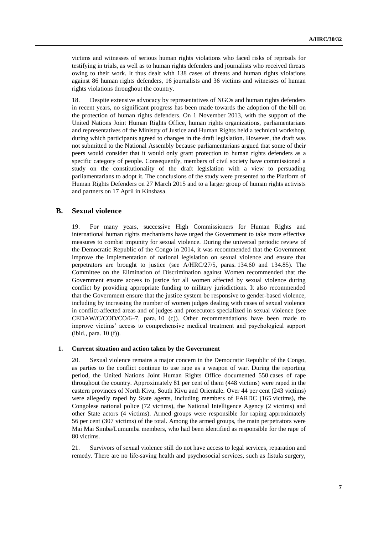victims and witnesses of serious human rights violations who faced risks of reprisals for testifying in trials, as well as to human rights defenders and journalists who received threats owing to their work. It thus dealt with 138 cases of threats and human rights violations against 86 human rights defenders, 16 journalists and 36 victims and witnesses of human rights violations throughout the country.

18. Despite extensive advocacy by representatives of NGOs and human rights defenders in recent years, no significant progress has been made towards the adoption of the bill on the protection of human rights defenders. On 1 November 2013, with the support of the United Nations Joint Human Rights Office, human rights organizations, parliamentarians and representatives of the Ministry of Justice and Human Rights held a technical workshop, during which participants agreed to changes in the draft legislation. However, the draft was not submitted to the National Assembly because parliamentarians argued that some of their peers would consider that it would only grant protection to human rights defenders as a specific category of people. Consequently, members of civil society have commissioned a study on the constitutionality of the draft legislation with a view to persuading parliamentarians to adopt it. The conclusions of the study were presented to the Platform of Human Rights Defenders on 27 March 2015 and to a larger group of human rights activists and partners on 17 April in Kinshasa.

### **B. Sexual violence**

19. For many years, successive High Commissioners for Human Rights and international human rights mechanisms have urged the Government to take more effective measures to combat impunity for sexual violence. During the universal periodic review of the Democratic Republic of the Congo in 2014, it was recommended that the Government improve the implementation of national legislation on sexual violence and ensure that perpetrators are brought to justice (see A/HRC/27/5, paras. 134.60 and 134.85). The Committee on the Elimination of Discrimination against Women recommended that the Government ensure access to justice for all women affected by sexual violence during conflict by providing appropriate funding to military jurisdictions. It also recommended that the Government ensure that the justice system be responsive to gender-based violence, including by increasing the number of women judges dealing with cases of sexual violence in conflict-affected areas and of judges and prosecutors specialized in sexual violence (see CEDAW/C/COD/CO/6–7, para. 10 (c)). Other recommendations have been made to improve victims' access to comprehensive medical treatment and psychological support (ibid., para. 10 (f)).

#### **1. Current situation and action taken by the Government**

20. Sexual violence remains a major concern in the Democratic Republic of the Congo, as parties to the conflict continue to use rape as a weapon of war. During the reporting period, the United Nations Joint Human Rights Office documented 550 cases of rape throughout the country. Approximately 81 per cent of them (448 victims) were raped in the eastern provinces of North Kivu, South Kivu and Orientale. Over 44 per cent (243 victims) were allegedly raped by State agents, including members of FARDC (165 victims), the Congolese national police (72 victims), the National Intelligence Agency (2 victims) and other State actors (4 victims). Armed groups were responsible for raping approximately 56 per cent (307 victims) of the total. Among the armed groups, the main perpetrators were Mai Mai Simba/Lumumba members, who had been identified as responsible for the rape of 80 victims.

21. Survivors of sexual violence still do not have access to legal services, reparation and remedy. There are no life-saving health and psychosocial services, such as fistula surgery,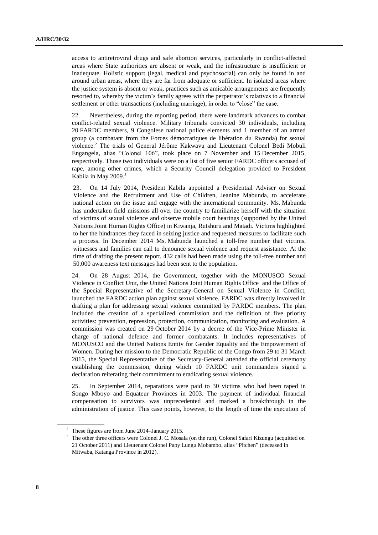access to antiretroviral drugs and safe abortion services, particularly in conflict-affected areas where State authorities are absent or weak, and the infrastructure is insufficient or inadequate. Holistic support (legal, medical and psychosocial) can only be found in and around urban areas, where they are far from adequate or sufficient. In isolated areas where the justice system is absent or weak, practices such as amicable arrangements are frequently resorted to, whereby the victim's family agrees with the perpetrator's relatives to a financial settlement or other transactions (including marriage), in order to "close" the case.

22. Nevertheless, during the reporting period, there were landmark advances to combat conflict-related sexual violence. Military tribunals convicted 30 individuals, including 20 FARDC members, 9 Congolese national police elements and 1 member of an armed group (a combatant from the Forces démocratiques de libération du Rwanda) for sexual violence. <sup>2</sup> The trials of General Jérôme Kakwavu and Lieutenant Colonel Bedi Mobuli Engangela, alias "Colonel 106", took place on 7 November and 15 December 2015, respectively. Those two individuals were on a list of five senior FARDC officers accused of rape, among other crimes, which a Security Council delegation provided to President Kabila in May 2009. 3

23. On 14 July 2014, President Kabila appointed a Presidential Adviser on Sexual Violence and the Recruitment and Use of Children, Jeanine Mabunda, to accelerate national action on the issue and engage with the international community. Ms. Mabunda has undertaken field missions all over the country to familiarize herself with the situation of victims of sexual violence and observe mobile court hearings (supported by the United Nations Joint Human Rights Office) in Kiwanja, Rutshuru and Matadi. Victims highlighted to her the hindrances they faced in seizing justice and requested measures to facilitate such a process. In December 2014 Ms. Mabunda launched a toll-free number that victims, witnesses and families can call to denounce sexual violence and request assistance. At the time of drafting the present report, 432 calls had been made using the toll-free number and 50,000 awareness text messages had been sent to the population.

24. On 28 August 2014, the Government, together with the MONUSCO Sexual Violence in Conflict Unit, the United Nations Joint Human Rights Office and the Office of the Special Representative of the Secretary-General on Sexual Violence in Conflict, launched the FARDC action plan against sexual violence. FARDC was directly involved in drafting a plan for addressing sexual violence committed by FARDC members. The plan included the creation of a specialized commission and the definition of five priority activities: prevention, repression, protection, communication, monitoring and evaluation. A commission was created on 29 October 2014 by a decree of the Vice-Prime Minister in charge of national defence and former combatants. It includes representatives of MONUSCO and the United Nations Entity for Gender Equality and the Empowerment of Women. During her mission to the Democratic Republic of the Congo from 29 to 31 March 2015, the Special Representative of the Secretary-General attended the official ceremony establishing the commission, during which 10 FARDC unit commanders signed a declaration reiterating their commitment to eradicating sexual violence.

25. In September 2014, reparations were paid to 30 victims who had been raped in Songo Mboyo and Equateur Provinces in 2003. The payment of individual financial compensation to survivors was unprecedented and marked a breakthrough in the administration of justice. This case points, however, to the length of time the execution of

<sup>2</sup> These figures are from June 2014–January 2015.

<sup>&</sup>lt;sup>3</sup> The other three officers were Colonel J. C. Mosala (on the run), Colonel Safari Kizungu (acquitted on 21 October 2011) and Lieutenant Colonel Papy Lungu Mobambo, alias "Pitchen" (deceased in Mitwaba, Katanga Province in 2012).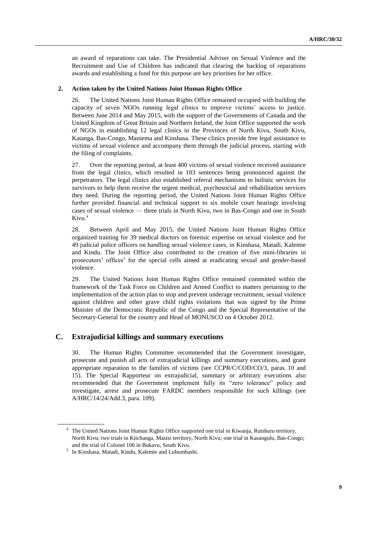an award of reparations can take. The Presidential Adviser on Sexual Violence and the Recruitment and Use of Children has indicated that clearing the backlog of reparations awards and establishing a fund for this purpose are key priorities for her office.

#### **2. Action taken by the United Nations Joint Human Rights Office**

26. The United Nations Joint Human Rights Office remained occupied with building the capacity of seven NGOs running legal clinics to improve victims' access to justice. Between June 2014 and May 2015, with the support of the Governments of Canada and the United Kingdom of Great Britain and Northern Ireland, the Joint Office supported the work of NGOs in establishing 12 legal clinics in the Provinces of North Kivu, South Kivu, Katanga, Bas-Congo, Maniema and Kinshasa. These clinics provide free legal assistance to victims of sexual violence and accompany them through the judicial process, starting with the filing of complaints.

27. Over the reporting period, at least 400 victims of sexual violence received assistance from the legal clinics, which resulted in 103 sentences being pronounced against the perpetrators. The legal clinics also established referral mechanisms to holistic services for survivors to help them receive the urgent medical, psychosocial and rehabilitation services they need. During the reporting period, the United Nations Joint Human Rights Office further provided financial and technical support to six mobile court hearings involving cases of sexual violence — three trials in North Kivu, two in Bas-Congo and one in South Kivu.<sup>4</sup>

28. Between April and May 2015, the United Nations Joint Human Rights Office organized training for 39 medical doctors on forensic expertise on sexual violence and for 49 judicial police officers on handling sexual violence cases, in Kinshasa, Matadi, Kalemie and Kindu. The Joint Office also contributed to the creation of five mini-libraries in prosecutors' offices<sup>5</sup> for the special cells aimed at eradicating sexual and gender-based violence.

29. The United Nations Joint Human Rights Office remained committed within the framework of the Task Force on Children and Armed Conflict to matters pertaining to the implementation of the action plan to stop and prevent underage recruitment, sexual violence against children and other grave child rights violations that was signed by the Prime Minister of the Democratic Republic of the Congo and the Special Representative of the Secretary-General for the country and Head of MONUSCO on 4 October 2012.

## **C. Extrajudicial killings and summary executions**

30. The Human Rights Committee recommended that the Government investigate, prosecute and punish all acts of extrajudicial killings and summary executions, and grant appropriate reparation to the families of victims (see CCPR/C/COD/CO/3, paras. 10 and 15). The Special Rapporteur on extrajudicial, summary or arbitrary executions also recommended that the Government implement fully its "zero tolerance" policy and investigate, arrest and prosecute FARDC members responsible for such killings (see A/HRC/14/24/Add.3, para. 109).

<sup>&</sup>lt;sup>4</sup> The United Nations Joint Human Rights Office supported one trial in Kiwanja, Rutshuru territory, North Kivu; two trials in Kitchanga, Masisi territory, North Kivu; one trial in Kasangulu, Bas-Congo; and the trial of Colonel 106 in Bukavu, South Kivu.

<sup>5</sup> In Kinshasa, Matadi, Kindu, Kalemie and Lubumbashi.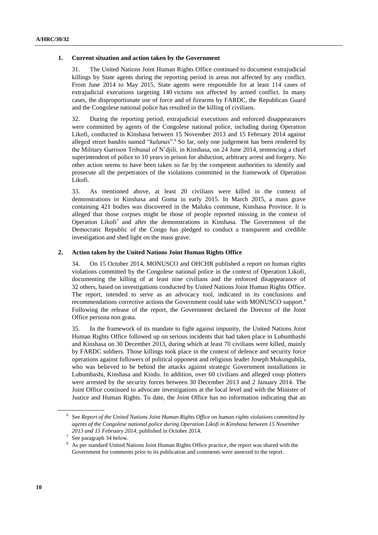#### **1. Current situation and action taken by the Government**

31. The United Nations Joint Human Rights Office continued to document extrajudicial killings by State agents during the reporting period in areas not affected by any conflict. From June 2014 to May 2015, State agents were responsible for at least 114 cases of extrajudicial executions targeting 140 victims not affected by armed conflict. In many cases, the disproportionate use of force and of firearms by FARDC, the Republican Guard and the Congolese national police has resulted in the killing of civilians.

32. During the reporting period, extrajudicial executions and enforced disappearances were committed by agents of the Congolese national police, including during Operation Likofi, conducted in Kinshasa between 15 November 2013 and 15 February 2014 against alleged street bandits named "*kulunas*". <sup>6</sup> So far, only one judgement has been rendered by the Military Garrison Tribunal of N'djili, in Kinshasa, on 24 June 2014, sentencing a chief superintendent of police to 10 years in prison for abduction, arbitrary arrest and forgery. No other action seems to have been taken so far by the competent authorities to identify and prosecute all the perpetrators of the violations committed in the framework of Operation Likofi.

33. As mentioned above, at least 20 civilians were killed in the context of demonstrations in Kinshasa and Goma in early 2015. In March 2015, a mass grave containing 421 bodies was discovered in the Maluku commune, Kinshasa Province. It is alleged that those corpses might be those of people reported missing in the context of Operation Likofi<sup>7</sup> and after the demonstrations in Kinshasa. The Government of the Democratic Republic of the Congo has pledged to conduct a transparent and credible investigation and shed light on the mass grave.

### **2. Action taken by the United Nations Joint Human Rights Office**

34. On 15 October 2014, MONUSCO and OHCHR published a report on human rights violations committed by the Congolese national police in the context of Operation Likofi, documenting the killing of at least nine civilians and the enforced disappearance of 32 others, based on investigations conducted by United Nations Joint Human Rights Office. The report, intended to serve as an advocacy tool, indicated in its conclusions and recommendations corrective actions the Government could take with MONUSCO support.<sup>8</sup> Following the release of the report, the Government declared the Director of the Joint Office persona non grata.

35. In the framework of its mandate to fight against impunity, the United Nations Joint Human Rights Office followed up on serious incidents that had taken place in Lubumbashi and Kinshasa on 30 December 2013, during which at least 70 civilians were killed, mainly by FARDC soldiers. Those killings took place in the context of defence and security force operations against followers of political opponent and religious leader Joseph Mukungubila, who was believed to be behind the attacks against strategic Government installations in Lubumbashi, Kinshasa and Kindu. In addition, over 60 civilians and alleged coup plotters were arrested by the security forces between 30 December 2013 and 2 January 2014. The Joint Office continued to advocate investigations at the local level and with the Minister of Justice and Human Rights. To date, the Joint Office has no information indicating that an

<sup>6</sup> See *Report of the United Nations Joint Human Rights Office on human rights violations committed by agents of the Congolese national police during Operation Likofi in Kinshasa between 15 November 2013 and 15 February 2014*, published in October 2014.

<sup>7</sup> See paragraph 34 below.

<sup>8</sup> As per standard United Nations Joint Human Rights Office practice, the report was shared with the Government for comments prior to its publication and comments were annexed to the report.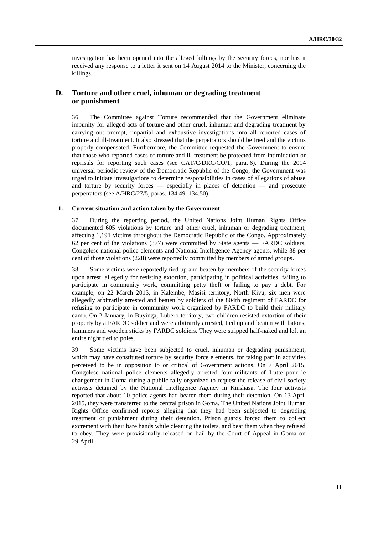investigation has been opened into the alleged killings by the security forces, nor has it received any response to a letter it sent on 14 August 2014 to the Minister, concerning the killings.

## **D. Torture and other cruel, inhuman or degrading treatment or punishment**

36. The Committee against Torture recommended that the Government eliminate impunity for alleged acts of torture and other cruel, inhuman and degrading treatment by carrying out prompt, impartial and exhaustive investigations into all reported cases of torture and ill-treatment. It also stressed that the perpetrators should be tried and the victims properly compensated. Furthermore, the Committee requested the Government to ensure that those who reported cases of torture and ill-treatment be protected from intimidation or reprisals for reporting such cases (see CAT/C/DRC/CO/1, para. 6). During the 2014 universal periodic review of the Democratic Republic of the Congo, the Government was urged to initiate investigations to determine responsibilities in cases of allegations of abuse and torture by security forces — especially in places of detention — and prosecute perpetrators (see A/HRC/27/5, paras. 134.49–134.50).

#### **1. Current situation and action taken by the Government**

37. During the reporting period, the United Nations Joint Human Rights Office documented 605 violations by torture and other cruel, inhuman or degrading treatment, affecting 1,191 victims throughout the Democratic Republic of the Congo. Approximately 62 per cent of the violations (377) were committed by State agents — FARDC soldiers, Congolese national police elements and National Intelligence Agency agents, while 38 per cent of those violations (228) were reportedly committed by members of armed groups.

38. Some victims were reportedly tied up and beaten by members of the security forces upon arrest, allegedly for resisting extortion, participating in political activities, failing to participate in community work, committing petty theft or failing to pay a debt. For example, on 22 March 2015, in Kalembe, Masisi territory, North Kivu, six men were allegedly arbitrarily arrested and beaten by soldiers of the 804th regiment of FARDC for refusing to participate in community work organized by FARDC to build their military camp. On 2 January, in Buyinga, Lubero territory, two children resisted extortion of their property by a FARDC soldier and were arbitrarily arrested, tied up and beaten with batons, hammers and wooden sticks by FARDC soldiers. They were stripped half-naked and left an entire night tied to poles.

39. Some victims have been subjected to cruel, inhuman or degrading punishment, which may have constituted torture by security force elements, for taking part in activities perceived to be in opposition to or critical of Government actions. On 7 April 2015, Congolese national police elements allegedly arrested four militants of Lutte pour le changement in Goma during a public rally organized to request the release of civil society activists detained by the National Intelligence Agency in Kinshasa. The four activists reported that about 10 police agents had beaten them during their detention. On 13 April 2015, they were transferred to the central prison in Goma. The United Nations Joint Human Rights Office confirmed reports alleging that they had been subjected to degrading treatment or punishment during their detention. Prison guards forced them to collect excrement with their bare hands while cleaning the toilets, and beat them when they refused to obey. They were provisionally released on bail by the Court of Appeal in Goma on 29 April.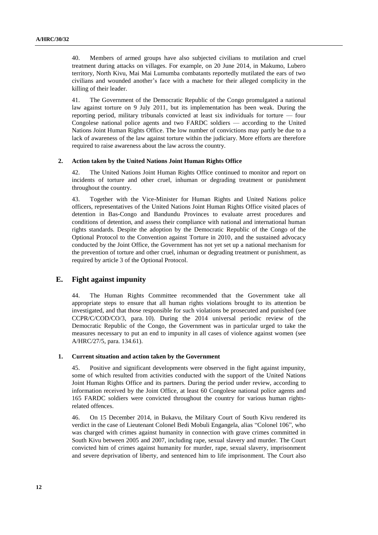40. Members of armed groups have also subjected civilians to mutilation and cruel treatment during attacks on villages. For example, on 20 June 2014, in Makumo, Lubero territory, North Kivu, Mai Mai Lumumba combatants reportedly mutilated the ears of two civilians and wounded another's face with a machete for their alleged complicity in the killing of their leader.

41. The Government of the Democratic Republic of the Congo promulgated a national law against torture on 9 July 2011, but its implementation has been weak. During the reporting period, military tribunals convicted at least six individuals for torture — four Congolese national police agents and two FARDC soldiers — according to the United Nations Joint Human Rights Office. The low number of convictions may partly be due to a lack of awareness of the law against torture within the judiciary. More efforts are therefore required to raise awareness about the law across the country.

#### **2. Action taken by the United Nations Joint Human Rights Office**

42. The United Nations Joint Human Rights Office continued to monitor and report on incidents of torture and other cruel, inhuman or degrading treatment or punishment throughout the country.

43. Together with the Vice-Minister for Human Rights and United Nations police officers, representatives of the United Nations Joint Human Rights Office visited places of detention in Bas-Congo and Bandundu Provinces to evaluate arrest procedures and conditions of detention, and assess their compliance with national and international human rights standards. Despite the adoption by the Democratic Republic of the Congo of the Optional Protocol to the Convention against Torture in 2010, and the sustained advocacy conducted by the Joint Office, the Government has not yet set up a national mechanism for the prevention of torture and other cruel, inhuman or degrading treatment or punishment, as required by article 3 of the Optional Protocol.

## **E. Fight against impunity**

44. The Human Rights Committee recommended that the Government take all appropriate steps to ensure that all human rights violations brought to its attention be investigated, and that those responsible for such violations be prosecuted and punished (see CCPR/C/COD/CO/3, para. 10). During the 2014 universal periodic review of the Democratic Republic of the Congo, the Government was in particular urged to take the measures necessary to put an end to impunity in all cases of violence against women (see A/HRC/27/5, para. 134.61).

#### **1. Current situation and action taken by the Government**

45. Positive and significant developments were observed in the fight against impunity, some of which resulted from activities conducted with the support of the United Nations Joint Human Rights Office and its partners. During the period under review, according to information received by the Joint Office, at least 60 Congolese national police agents and 165 FARDC soldiers were convicted throughout the country for various human rightsrelated offences.

46. On 15 December 2014, in Bukavu, the Military Court of South Kivu rendered its verdict in the case of Lieutenant Colonel Bedi Mobuli Engangela, alias "Colonel 106", who was charged with crimes against humanity in connection with grave crimes committed in South Kivu between 2005 and 2007, including rape, sexual slavery and murder. The Court convicted him of crimes against humanity for murder, rape, sexual slavery, imprisonment and severe deprivation of liberty, and sentenced him to life imprisonment. The Court also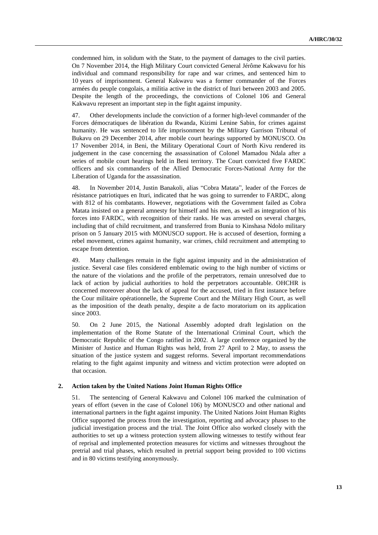condemned him, in solidum with the State, to the payment of damages to the civil parties. On 7 November 2014, the High Military Court convicted General Jérôme Kakwavu for his individual and command responsibility for rape and war crimes, and sentenced him to 10 years of imprisonment. General Kakwavu was a former commander of the Forces armées du peuple congolais, a militia active in the district of Ituri between 2003 and 2005. Despite the length of the proceedings, the convictions of Colonel 106 and General Kakwavu represent an important step in the fight against impunity.

47. Other developments include the conviction of a former high-level commander of the Forces démocratiques de libération du Rwanda, Kizimi Lenine Sabin, for crimes against humanity. He was sentenced to life imprisonment by the Military Garrison Tribunal of Bukavu on 29 December 2014, after mobile court hearings supported by MONUSCO. On 17 November 2014, in Beni, the Military Operational Court of North Kivu rendered its judgement in the case concerning the assassination of Colonel Mamadou Ndala after a series of mobile court hearings held in Beni territory. The Court convicted five FARDC officers and six commanders of the Allied Democratic Forces-National Army for the Liberation of Uganda for the assassination.

48. In November 2014, Justin Banakoli, alias "Cobra Matata", leader of the Forces de résistance patriotiques en Ituri, indicated that he was going to surrender to FARDC, along with 812 of his combatants. However, negotiations with the Government failed as Cobra Matata insisted on a general amnesty for himself and his men, as well as integration of his forces into FARDC, with recognition of their ranks. He was arrested on several charges, including that of child recruitment, and transferred from Bunia to Kinshasa Ndolo military prison on 5 January 2015 with MONUSCO support. He is accused of desertion, forming a rebel movement, crimes against humanity, war crimes, child recruitment and attempting to escape from detention.

49. Many challenges remain in the fight against impunity and in the administration of justice. Several case files considered emblematic owing to the high number of victims or the nature of the violations and the profile of the perpetrators, remain unresolved due to lack of action by judicial authorities to hold the perpetrators accountable. OHCHR is concerned moreover about the lack of appeal for the accused, tried in first instance before the Cour militaire opérationnelle, the Supreme Court and the Military High Court, as well as the imposition of the death penalty*,* despite a de facto moratorium on its application since 2003.

50. On 2 June 2015, the National Assembly adopted draft legislation on the implementation of the Rome Statute of the International Criminal Court, which the Democratic Republic of the Congo ratified in 2002. A large conference organized by the Minister of Justice and Human Rights was held, from 27 April to 2 May, to assess the situation of the justice system and suggest reforms. Several important recommendations relating to the fight against impunity and witness and victim protection were adopted on that occasion.

#### **2. Action taken by the United Nations Joint Human Rights Office**

51. The sentencing of General Kakwavu and Colonel 106 marked the culmination of years of effort (seven in the case of Colonel 106) by MONUSCO and other national and international partners in the fight against impunity. The United Nations Joint Human Rights Office supported the process from the investigation, reporting and advocacy phases to the judicial investigation process and the trial. The Joint Office also worked closely with the authorities to set up a witness protection system allowing witnesses to testify without fear of reprisal and implemented protection measures for victims and witnesses throughout the pretrial and trial phases, which resulted in pretrial support being provided to 100 victims and in 80 victims testifying anonymously.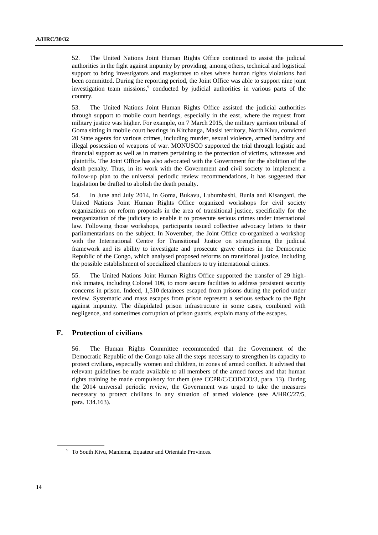52. The United Nations Joint Human Rights Office continued to assist the judicial authorities in the fight against impunity by providing, among others, technical and logistical support to bring investigators and magistrates to sites where human rights violations had been committed. During the reporting period, the Joint Office was able to support nine joint investigation team missions, 9 conducted by judicial authorities in various parts of the country.

53. The United Nations Joint Human Rights Office assisted the judicial authorities through support to mobile court hearings, especially in the east, where the request from military justice was higher. For example, on 7 March 2015, the military garrison tribunal of Goma sitting in mobile court hearings in Kitchanga, Masisi territory, North Kivu, convicted 20 State agents for various crimes, including murder, sexual violence, armed banditry and illegal possession of weapons of war. MONUSCO supported the trial through logistic and financial support as well as in matters pertaining to the protection of victims, witnesses and plaintiffs. The Joint Office has also advocated with the Government for the abolition of the death penalty. Thus, in its work with the Government and civil society to implement a follow-up plan to the universal periodic review recommendations, it has suggested that legislation be drafted to abolish the death penalty.

54. In June and July 2014, in Goma, Bukavu, Lubumbashi, Bunia and Kisangani, the United Nations Joint Human Rights Office organized workshops for civil society organizations on reform proposals in the area of transitional justice, specifically for the reorganization of the judiciary to enable it to prosecute serious crimes under international law. Following those workshops, participants issued collective advocacy letters to their parliamentarians on the subject. In November, the Joint Office co-organized a workshop with the International Centre for Transitional Justice on strengthening the judicial framework and its ability to investigate and prosecute grave crimes in the Democratic Republic of the Congo, which analysed proposed reforms on transitional justice, including the possible establishment of specialized chambers to try international crimes.

55. The United Nations Joint Human Rights Office supported the transfer of 29 highrisk inmates, including Colonel 106, to more secure facilities to address persistent security concerns in prison. Indeed, 1,510 detainees escaped from prisons during the period under review. Systematic and mass escapes from prison represent a serious setback to the fight against impunity. The dilapidated prison infrastructure in some cases, combined with negligence, and sometimes corruption of prison guards, explain many of the escapes.

## **F. Protection of civilians**

56. The Human Rights Committee recommended that the Government of the Democratic Republic of the Congo take all the steps necessary to strengthen its capacity to protect civilians, especially women and children, in zones of armed conflict. It advised that relevant guidelines be made available to all members of the armed forces and that human rights training be made compulsory for them (see CCPR/C/COD/CO/3, para. 13). During the 2014 universal periodic review, the Government was urged to take the measures necessary to protect civilians in any situation of armed violence (see A/HRC/27/5, para. 134.163).

<sup>&</sup>lt;sup>9</sup> To South Kivu, Maniema, Equateur and Orientale Provinces.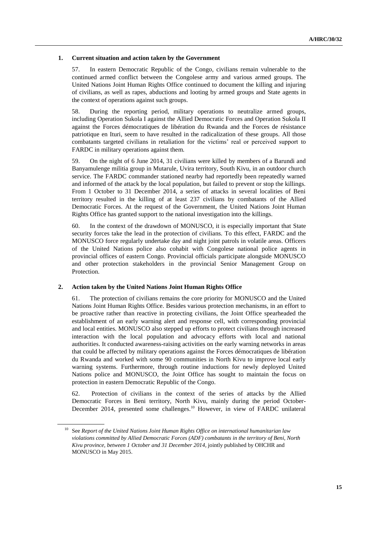### **1. Current situation and action taken by the Government**

57. In eastern Democratic Republic of the Congo, civilians remain vulnerable to the continued armed conflict between the Congolese army and various armed groups. The United Nations Joint Human Rights Office continued to document the killing and injuring of civilians, as well as rapes, abductions and looting by armed groups and State agents in the context of operations against such groups.

58. During the reporting period, military operations to neutralize armed groups, including Operation Sukola I against the Allied Democratic Forces and Operation Sukola II against the Forces démocratiques de libération du Rwanda and the Forces de résistance patriotique en Ituri, seem to have resulted in the radicalization of these groups. All those combatants targeted civilians in retaliation for the victims' real or perceived support to FARDC in military operations against them.

59. On the night of 6 June 2014, 31 civilians were killed by members of a Barundi and Banyamulenge militia group in Mutarule, Uvira territory, South Kivu, in an outdoor church service. The FARDC commander stationed nearby had reportedly been repeatedly warned and informed of the attack by the local population, but failed to prevent or stop the killings. From 1 October to 31 December 2014, a series of attacks in several localities of Beni territory resulted in the killing of at least 237 civilians by combatants of the Allied Democratic Forces. At the request of the Government, the United Nations Joint Human Rights Office has granted support to the national investigation into the killings.

60. In the context of the drawdown of MONUSCO, it is especially important that State security forces take the lead in the protection of civilians. To this effect, FARDC and the MONUSCO force regularly undertake day and night joint patrols in volatile areas. Officers of the United Nations police also cohabit with Congolese national police agents in provincial offices of eastern Congo. Provincial officials participate alongside MONUSCO and other protection stakeholders in the provincial Senior Management Group on Protection.

## **2. Action taken by the United Nations Joint Human Rights Office**

61. The protection of civilians remains the core priority for MONUSCO and the United Nations Joint Human Rights Office. Besides various protection mechanisms, in an effort to be proactive rather than reactive in protecting civilians, the Joint Office spearheaded the establishment of an early warning alert and response cell, with corresponding provincial and local entities. MONUSCO also stepped up efforts to protect civilians through increased interaction with the local population and advocacy efforts with local and national authorities. It conducted awareness-raising activities on the early warning networks in areas that could be affected by military operations against the Forces démocratiques de libération du Rwanda and worked with some 90 communities in North Kivu to improve local early warning systems. Furthermore, through routine inductions for newly deployed United Nations police and MONUSCO, the Joint Office has sought to maintain the focus on protection in eastern Democratic Republic of the Congo.

62. Protection of civilians in the context of the series of attacks by the Allied Democratic Forces in Beni territory, North Kivu, mainly during the period October-December 2014, presented some challenges. <sup>10</sup> However, in view of FARDC unilateral

<sup>10</sup> See *Report of the United Nations Joint Human Rights Office on international humanitarian law violations committed by Allied Democratic Forces (ADF) combatants in the territory of Beni, North Kivu province, between 1 October and 31 December 2014*, jointly published by OHCHR and MONUSCO in May 2015.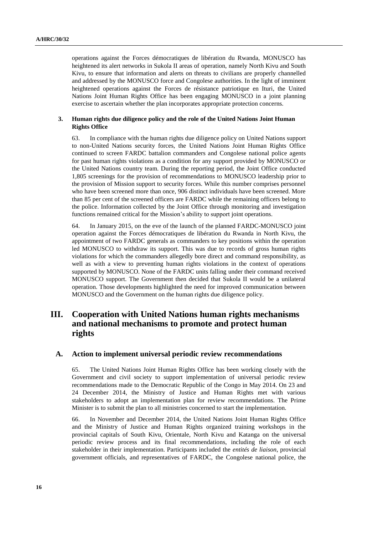operations against the Forces démocratiques de libération du Rwanda, MONUSCO has heightened its alert networks in Sukola II areas of operation, namely North Kivu and South Kivu, to ensure that information and alerts on threats to civilians are properly channelled and addressed by the MONUSCO force and Congolese authorities. In the light of imminent heightened operations against the Forces de résistance patriotique en Ituri, the United Nations Joint Human Rights Office has been engaging MONUSCO in a joint planning exercise to ascertain whether the plan incorporates appropriate protection concerns.

### **3. Human rights due diligence policy and the role of the United Nations Joint Human Rights Office**

63. In compliance with the human rights due diligence policy on United Nations support to non-United Nations security forces, the United Nations Joint Human Rights Office continued to screen FARDC battalion commanders and Congolese national police agents for past human rights violations as a condition for any support provided by MONUSCO or the United Nations country team. During the reporting period, the Joint Office conducted 1,805 screenings for the provision of recommendations to MONUSCO leadership prior to the provision of Mission support to security forces. While this number comprises personnel who have been screened more than once, 906 distinct individuals have been screened. More than 85 per cent of the screened officers are FARDC while the remaining officers belong to the police. Information collected by the Joint Office through monitoring and investigation functions remained critical for the Mission's ability to support joint operations.

64. In January 2015, on the eve of the launch of the planned FARDC-MONUSCO joint operation against the Forces démocratiques de libération du Rwanda in North Kivu, the appointment of two FARDC generals as commanders to key positions within the operation led MONUSCO to withdraw its support. This was due to records of gross human rights violations for which the commanders allegedly bore direct and command responsibility, as well as with a view to preventing human rights violations in the context of operations supported by MONUSCO. None of the FARDC units falling under their command received MONUSCO support. The Government then decided that Sukola II would be a unilateral operation. Those developments highlighted the need for improved communication between MONUSCO and the Government on the human rights due diligence policy.

# **III. Cooperation with United Nations human rights mechanisms and national mechanisms to promote and protect human rights**

## **A. Action to implement universal periodic review recommendations**

65. The United Nations Joint Human Rights Office has been working closely with the Government and civil society to support implementation of universal periodic review recommendations made to the Democratic Republic of the Congo in May 2014. On 23 and 24 December 2014, the Ministry of Justice and Human Rights met with various stakeholders to adopt an implementation plan for review recommendations. The Prime Minister is to submit the plan to all ministries concerned to start the implementation.

66. In November and December 2014, the United Nations Joint Human Rights Office and the Ministry of Justice and Human Rights organized training workshops in the provincial capitals of South Kivu, Orientale, North Kivu and Katanga on the universal periodic review process and its final recommendations, including the role of each stakeholder in their implementation. Participants included the *entités de liaison*, provincial government officials, and representatives of FARDC, the Congolese national police, the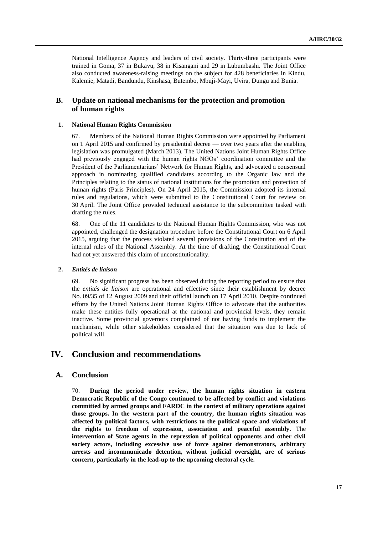National Intelligence Agency and leaders of civil society. Thirty-three participants were trained in Goma, 37 in Bukavu, 38 in Kisangani and 29 in Lubumbashi. The Joint Office also conducted awareness-raising meetings on the subject for 428 beneficiaries in Kindu, Kalemie, Matadi, Bandundu, Kinshasa, Butembo, Mbuji-Mayi, Uvira, Dungu and Bunia.

## **B. Update on national mechanisms for the protection and promotion of human rights**

#### **1. National Human Rights Commission**

67. Members of the National Human Rights Commission were appointed by Parliament on 1 April 2015 and confirmed by presidential decree — over two years after the enabling legislation was promulgated (March 2013). The United Nations Joint Human Rights Office had previously engaged with the human rights NGOs' coordination committee and the President of the Parliamentarians' Network for Human Rights, and advocated a consensual approach in nominating qualified candidates according to the Organic law and the Principles relating to the status of national institutions for the promotion and protection of human rights (Paris Principles). On 24 April 2015, the Commission adopted its internal rules and regulations, which were submitted to the Constitutional Court for review on 30 April. The Joint Office provided technical assistance to the subcommittee tasked with drafting the rules.

68. One of the 11 candidates to the National Human Rights Commission, who was not appointed, challenged the designation procedure before the Constitutional Court on 6 April 2015, arguing that the process violated several provisions of the Constitution and of the internal rules of the National Assembly. At the time of drafting, the Constitutional Court had not yet answered this claim of unconstitutionality.

#### **2.** *Entités de liaison*

69. No significant progress has been observed during the reporting period to ensure that the *entités de liaison* are operational and effective since their establishment by decree No. 09/35 of 12 August 2009 and their official launch on 17 April 2010. Despite continued efforts by the United Nations Joint Human Rights Office to advocate that the authorities make these entities fully operational at the national and provincial levels, they remain inactive. Some provincial governors complained of not having funds to implement the mechanism, while other stakeholders considered that the situation was due to lack of political will.

# **IV. Conclusion and recommendations**

## **A. Conclusion**

70. **During the period under review, the human rights situation in eastern Democratic Republic of the Congo continued to be affected by conflict and violations committed by armed groups and FARDC in the context of military operations against those groups. In the western part of the country, the human rights situation was affected by political factors, with restrictions to the political space and violations of the rights to freedom of expression, association and peaceful assembly.** The **intervention of State agents in the repression of political opponents and other civil society actors, including excessive use of force against demonstrators, arbitrary arrests and incommunicado detention, without judicial oversight, are of serious concern, particularly in the lead-up to the upcoming electoral cycle.**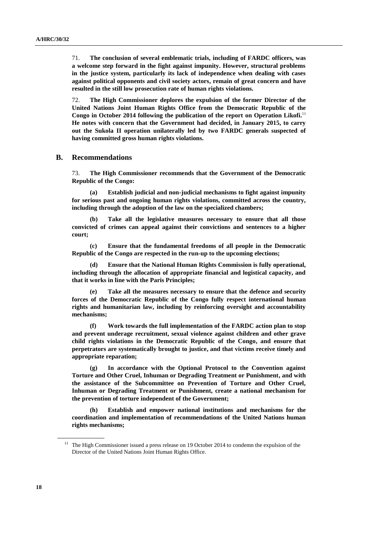71. **The conclusion of several emblematic trials, including of FARDC officers, was a welcome step forward in the fight against impunity. However, structural problems in the justice system, particularly its lack of independence when dealing with cases against political opponents and civil society actors, remain of great concern and have resulted in the still low prosecution rate of human rights violations.** 

72. **The High Commissioner deplores the expulsion of the former Director of the United Nations Joint Human Rights Office from the Democratic Republic of the Congo in October 2014 following the publication of the report on Operation Likofi.** 11 **He notes with concern that the Government had decided, in January 2015, to carry out the Sukola II operation unilaterally led by two FARDC generals suspected of having committed gross human rights violations.**

## **B. Recommendations**

73. **The High Commissioner recommends that the Government of the Democratic Republic of the Congo:**

**(a) Establish judicial and non-judicial mechanisms to fight against impunity for serious past and ongoing human rights violations, committed across the country, including through the adoption of the law on the specialized chambers;**

**(b) Take all the legislative measures necessary to ensure that all those convicted of crimes can appeal against their convictions and sentences to a higher court;** 

**(c) Ensure that the fundamental freedoms of all people in the Democratic Republic of the Congo are respected in the run-up to the upcoming elections;**

**(d) Ensure that the National Human Rights Commission is fully operational, including through the allocation of appropriate financial and logistical capacity, and that it works in line with the Paris Principles;**

**(e) Take all the measures necessary to ensure that the defence and security forces of the Democratic Republic of the Congo fully respect international human rights and humanitarian law, including by reinforcing oversight and accountability mechanisms;**

**(f) Work towards the full implementation of the FARDC action plan to stop and prevent underage recruitment, sexual violence against children and other grave child rights violations in the Democratic Republic of the Congo, and ensure that perpetrators are systematically brought to justice, and that victims receive timely and appropriate reparation;**

**(g) In accordance with the Optional Protocol to the Convention against Torture and Other Cruel, Inhuman or Degrading Treatment or Punishment, and with the assistance of the Subcommittee on Prevention of Torture and Other Cruel, Inhuman or Degrading Treatment or Punishment, create a national mechanism for the prevention of torture independent of the Government;** 

**(h) Establish and empower national institutions and mechanisms for the coordination and implementation of recommendations of the United Nations human rights mechanisms;**

<sup>&</sup>lt;sup>11</sup> The High Commissioner issued a press release on 19 October 2014 to condemn the expulsion of the Director of the United Nations Joint Human Rights Office.